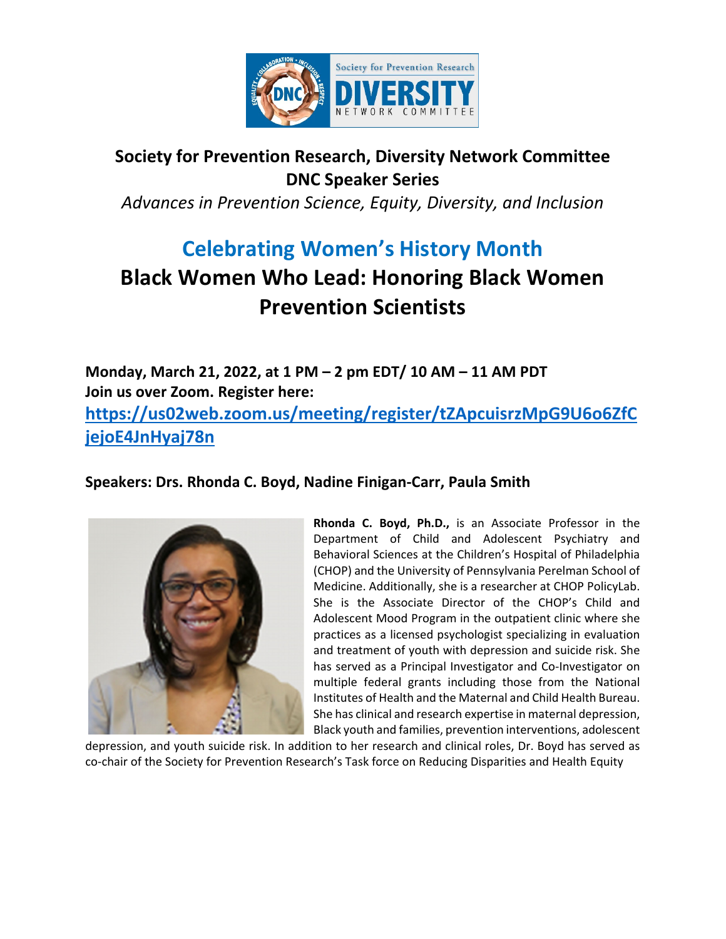

## **Society for Prevention Research, Diversity Network Committee DNC Speaker Series**

*Advances in Prevention Science, Equity, Diversity, and Inclusion*

## **Celebrating Women's History Month Black Women Who Lead: Honoring Black Women Prevention Scientists**

**Monday, March 21, 2022, at 1 PM – 2 pm EDT/ 10 AM – 11 AM PDT Join us over Zoom. Register here: https://us02web.zoom.us/meeting/register/tZApcuisrzMpG9U6o6ZfC jejoE4JnHyaj78n** 

**Speakers: Drs. Rhonda C. Boyd, Nadine Finigan‐Carr, Paula Smith**



**Rhonda C. Boyd, Ph.D.,** is an Associate Professor in the Department of Child and Adolescent Psychiatry and Behavioral Sciences at the Children's Hospital of Philadelphia (CHOP) and the University of Pennsylvania Perelman School of Medicine. Additionally, she is a researcher at CHOP PolicyLab. She is the Associate Director of the CHOP's Child and Adolescent Mood Program in the outpatient clinic where she practices as a licensed psychologist specializing in evaluation and treatment of youth with depression and suicide risk. She has served as a Principal Investigator and Co-Investigator on multiple federal grants including those from the National Institutes of Health and the Maternal and Child Health Bureau. She has clinical and research expertise in maternal depression, Black youth and families, prevention interventions, adolescent

depression, and youth suicide risk. In addition to her research and clinical roles, Dr. Boyd has served as co-chair of the Society for Prevention Research's Task force on Reducing Disparities and Health Equity